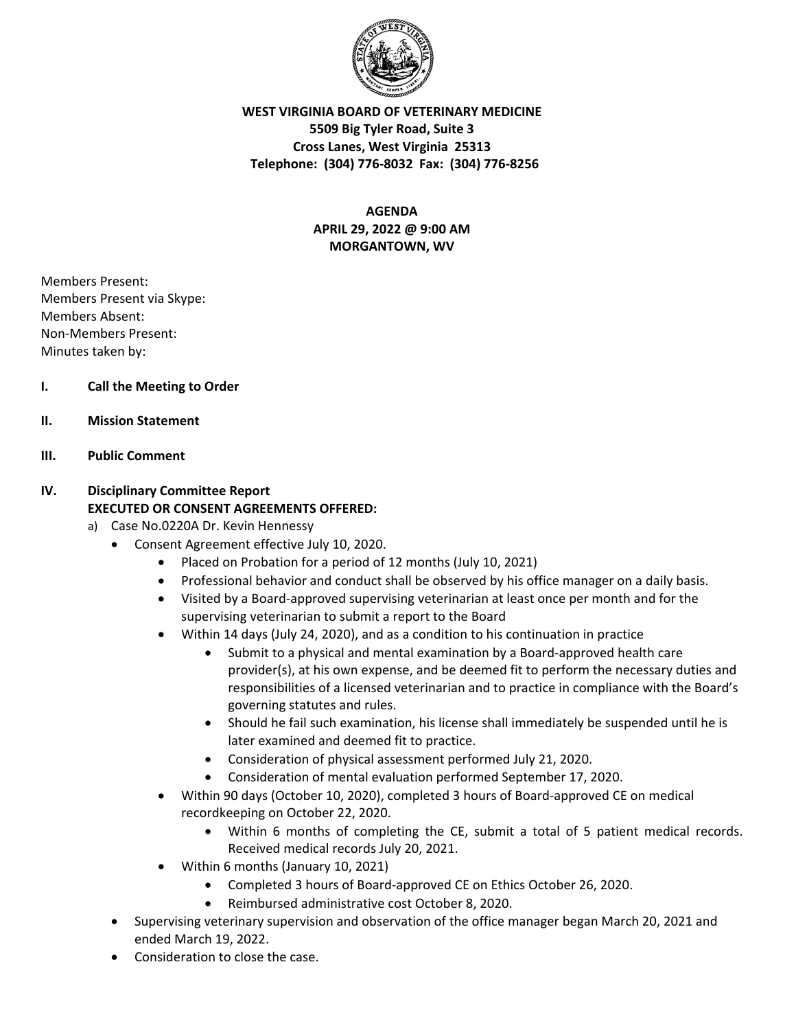

**WEST VIRGINIA BOARD OF VETERINARY MEDICINE 5509 Big Tyler Road, Suite 3 Cross Lanes, West Virginia 25313 Telephone: (304) 776‐8032 Fax: (304) 776‐8256** 

> **AGENDA APRIL 29, 2022 @ 9:00 AM MORGANTOWN, WV**

Members Present: Members Present via Skype: Members Absent: Non‐Members Present: Minutes taken by:

## **I. Call the Meeting to Order**

**II. Mission Statement** 

### **III. Public Comment**

# **IV. Disciplinary Committee Report EXECUTED OR CONSENT AGREEMENTS OFFERED:**

- a) Case No.0220A Dr. Kevin Hennessy
	- Consent Agreement effective July 10, 2020.
		- Placed on Probation for a period of 12 months (July 10, 2021)
		- Professional behavior and conduct shall be observed by his office manager on a daily basis.
		- Visited by a Board‐approved supervising veterinarian at least once per month and for the supervising veterinarian to submit a report to the Board
		- Within 14 days (July 24, 2020), and as a condition to his continuation in practice
			- Submit to a physical and mental examination by a Board-approved health care provider(s), at his own expense, and be deemed fit to perform the necessary duties and responsibilities of a licensed veterinarian and to practice in compliance with the Board's governing statutes and rules.
			- Should he fail such examination, his license shall immediately be suspended until he is later examined and deemed fit to practice.
			- Consideration of physical assessment performed July 21, 2020.
			- Consideration of mental evaluation performed September 17, 2020.
		- Within 90 days (October 10, 2020), completed 3 hours of Board-approved CE on medical recordkeeping on October 22, 2020.
			- Within 6 months of completing the CE, submit a total of 5 patient medical records. Received medical records July 20, 2021.
		- Within 6 months (January 10, 2021)
			- Completed 3 hours of Board‐approved CE on Ethics October 26, 2020.
			- Reimbursed administrative cost October 8, 2020.
	- Supervising veterinary supervision and observation of the office manager began March 20, 2021 and ended March 19, 2022.
	- Consideration to close the case.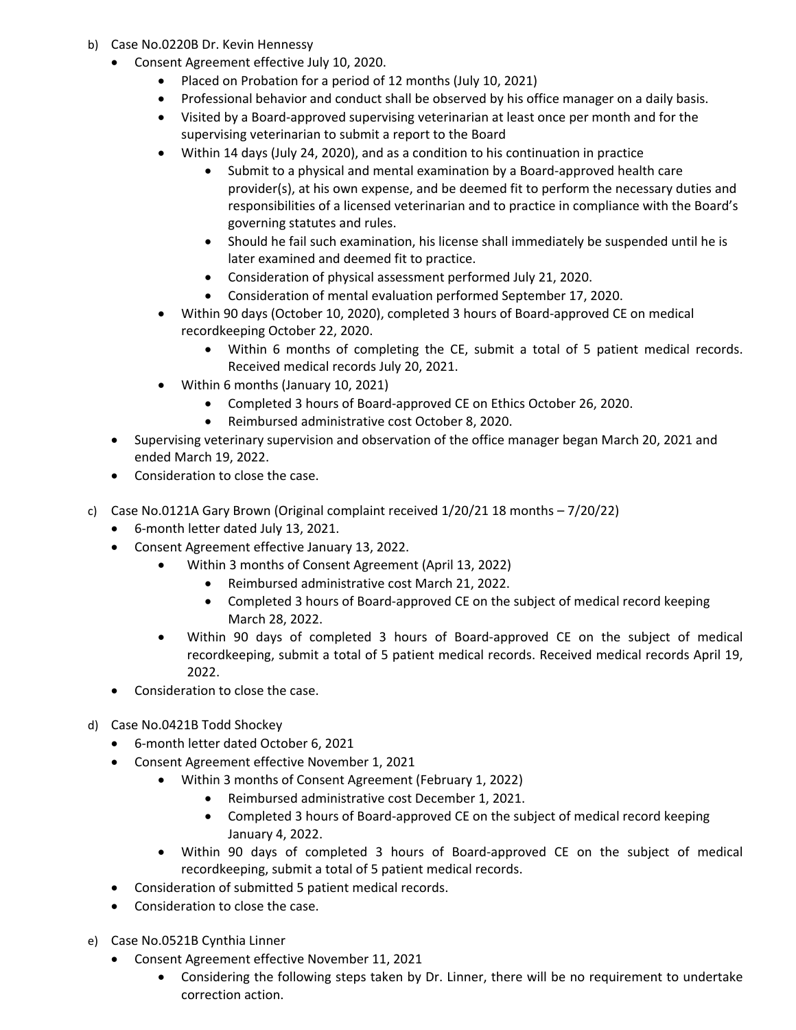- b) Case No.0220B Dr. Kevin Hennessy
	- Consent Agreement effective July 10, 2020.
		- Placed on Probation for a period of 12 months (July 10, 2021)
		- Professional behavior and conduct shall be observed by his office manager on a daily basis.
		- Visited by a Board‐approved supervising veterinarian at least once per month and for the supervising veterinarian to submit a report to the Board
		- Within 14 days (July 24, 2020), and as a condition to his continuation in practice
			- Submit to a physical and mental examination by a Board-approved health care provider(s), at his own expense, and be deemed fit to perform the necessary duties and responsibilities of a licensed veterinarian and to practice in compliance with the Board's governing statutes and rules.
			- Should he fail such examination, his license shall immediately be suspended until he is later examined and deemed fit to practice.
			- Consideration of physical assessment performed July 21, 2020.
			- Consideration of mental evaluation performed September 17, 2020.
		- Within 90 days (October 10, 2020), completed 3 hours of Board‐approved CE on medical recordkeeping October 22, 2020.
			- Within 6 months of completing the CE, submit a total of 5 patient medical records. Received medical records July 20, 2021.
		- Within 6 months (January 10, 2021)
			- Completed 3 hours of Board‐approved CE on Ethics October 26, 2020.
			- Reimbursed administrative cost October 8, 2020.
	- Supervising veterinary supervision and observation of the office manager began March 20, 2021 and ended March 19, 2022.
	- Consideration to close the case.
- c) Case No.0121A Gary Brown (Original complaint received 1/20/21 18 months 7/20/22)
	- 6‐month letter dated July 13, 2021.
	- Consent Agreement effective January 13, 2022.
		- Within 3 months of Consent Agreement (April 13, 2022)
			- Reimbursed administrative cost March 21, 2022.
			- Completed 3 hours of Board-approved CE on the subject of medical record keeping March 28, 2022.
		- Within 90 days of completed 3 hours of Board‐approved CE on the subject of medical recordkeeping, submit a total of 5 patient medical records. Received medical records April 19, 2022.
	- Consideration to close the case.
- d) Case No.0421B Todd Shockey
	- 6‐month letter dated October 6, 2021
	- Consent Agreement effective November 1, 2021
		- Within 3 months of Consent Agreement (February 1, 2022)
			- Reimbursed administrative cost December 1, 2021.
			- Completed 3 hours of Board-approved CE on the subject of medical record keeping January 4, 2022.
		- Within 90 days of completed 3 hours of Board‐approved CE on the subject of medical recordkeeping, submit a total of 5 patient medical records.
	- Consideration of submitted 5 patient medical records.
	- Consideration to close the case.
- e) Case No.0521B Cynthia Linner
	- Consent Agreement effective November 11, 2021
		- Considering the following steps taken by Dr. Linner, there will be no requirement to undertake correction action.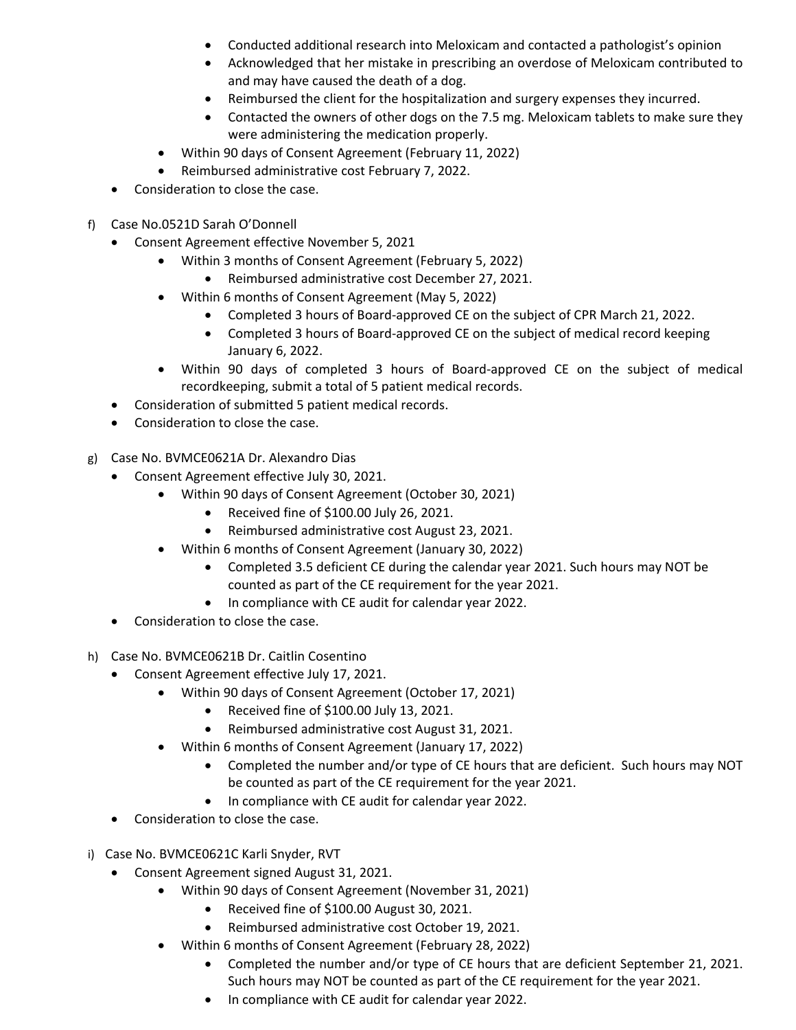- Conducted additional research into Meloxicam and contacted a pathologist's opinion
- Acknowledged that her mistake in prescribing an overdose of Meloxicam contributed to and may have caused the death of a dog.
- Reimbursed the client for the hospitalization and surgery expenses they incurred.
- Contacted the owners of other dogs on the 7.5 mg. Meloxicam tablets to make sure they were administering the medication properly.
- Within 90 days of Consent Agreement (February 11, 2022)
- Reimbursed administrative cost February 7, 2022.
- Consideration to close the case.
- f) Case No.0521D Sarah O'Donnell
	- Consent Agreement effective November 5, 2021
		- Within 3 months of Consent Agreement (February 5, 2022)
			- Reimbursed administrative cost December 27, 2021.
		- Within 6 months of Consent Agreement (May 5, 2022)
			- Completed 3 hours of Board‐approved CE on the subject of CPR March 21, 2022.
			- Completed 3 hours of Board-approved CE on the subject of medical record keeping January 6, 2022.
		- Within 90 days of completed 3 hours of Board‐approved CE on the subject of medical recordkeeping, submit a total of 5 patient medical records.
	- Consideration of submitted 5 patient medical records.
	- Consideration to close the case.
- g) Case No. BVMCE0621A Dr. Alexandro Dias
	- Consent Agreement effective July 30, 2021.
		- Within 90 days of Consent Agreement (October 30, 2021)
			- Received fine of \$100.00 July 26, 2021.
			- Reimbursed administrative cost August 23, 2021.
			- Within 6 months of Consent Agreement (January 30, 2022)
				- Completed 3.5 deficient CE during the calendar year 2021. Such hours may NOT be counted as part of the CE requirement for the year 2021.
				- In compliance with CE audit for calendar year 2022.
	- Consideration to close the case.
- h) Case No. BVMCE0621B Dr. Caitlin Cosentino
	- Consent Agreement effective July 17, 2021.
		- Within 90 days of Consent Agreement (October 17, 2021)
			- Received fine of \$100.00 July 13, 2021.
			- Reimbursed administrative cost August 31, 2021.
			- Within 6 months of Consent Agreement (January 17, 2022)
				- Completed the number and/or type of CE hours that are deficient. Such hours may NOT be counted as part of the CE requirement for the year 2021.
				- In compliance with CE audit for calendar year 2022.
	- Consideration to close the case.
- i) Case No. BVMCE0621C Karli Snyder, RVT
	- Consent Agreement signed August 31, 2021.
		- Within 90 days of Consent Agreement (November 31, 2021)
			- Received fine of \$100.00 August 30, 2021.
			- Reimbursed administrative cost October 19, 2021.
		- Within 6 months of Consent Agreement (February 28, 2022)
			- Completed the number and/or type of CE hours that are deficient September 21, 2021. Such hours may NOT be counted as part of the CE requirement for the year 2021.
			- In compliance with CE audit for calendar year 2022.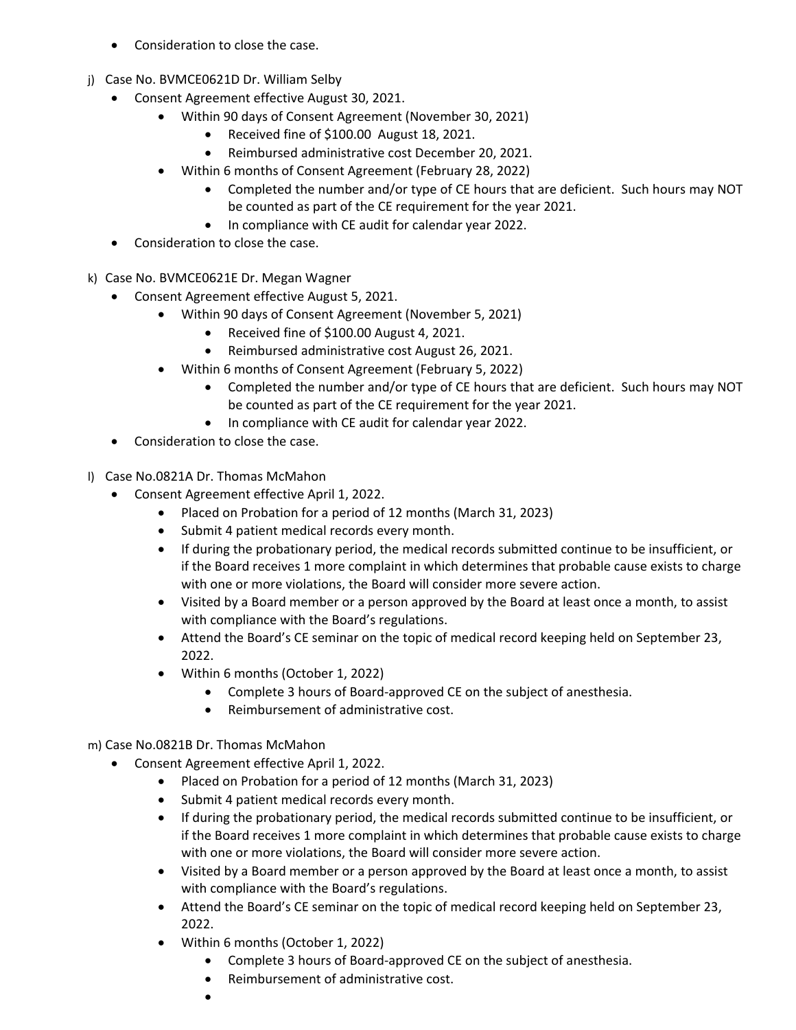- Consideration to close the case.
- j) Case No. BVMCE0621D Dr. William Selby
	- Consent Agreement effective August 30, 2021.
		- Within 90 days of Consent Agreement (November 30, 2021)
			- Received fine of \$100.00 August 18, 2021.
			- Reimbursed administrative cost December 20, 2021.
		- Within 6 months of Consent Agreement (February 28, 2022)
			- Completed the number and/or type of CE hours that are deficient. Such hours may NOT be counted as part of the CE requirement for the year 2021.
			- In compliance with CE audit for calendar year 2022.
	- Consideration to close the case.
- k) Case No. BVMCE0621E Dr. Megan Wagner
	- Consent Agreement effective August 5, 2021.
		- Within 90 days of Consent Agreement (November 5, 2021)
			- Received fine of \$100.00 August 4, 2021.
			- Reimbursed administrative cost August 26, 2021.
			- Within 6 months of Consent Agreement (February 5, 2022)
				- Completed the number and/or type of CE hours that are deficient. Such hours may NOT be counted as part of the CE requirement for the year 2021.
				- In compliance with CE audit for calendar year 2022.
	- Consideration to close the case.
- l) Case No.0821A Dr. Thomas McMahon
	- Consent Agreement effective April 1, 2022.
		- Placed on Probation for a period of 12 months (March 31, 2023)
		- Submit 4 patient medical records every month.
		- If during the probationary period, the medical records submitted continue to be insufficient, or if the Board receives 1 more complaint in which determines that probable cause exists to charge with one or more violations, the Board will consider more severe action.
		- Visited by a Board member or a person approved by the Board at least once a month, to assist with compliance with the Board's regulations.
		- Attend the Board's CE seminar on the topic of medical record keeping held on September 23, 2022.
		- Within 6 months (October 1, 2022)
			- Complete 3 hours of Board-approved CE on the subject of anesthesia.
			- Reimbursement of administrative cost.

m) Case No.0821B Dr. Thomas McMahon

- Consent Agreement effective April 1, 2022.
	- Placed on Probation for a period of 12 months (March 31, 2023)
	- Submit 4 patient medical records every month.
	- If during the probationary period, the medical records submitted continue to be insufficient, or if the Board receives 1 more complaint in which determines that probable cause exists to charge with one or more violations, the Board will consider more severe action.
	- Visited by a Board member or a person approved by the Board at least once a month, to assist with compliance with the Board's regulations.
	- Attend the Board's CE seminar on the topic of medical record keeping held on September 23, 2022.
	- Within 6 months (October 1, 2022)
		- Complete 3 hours of Board-approved CE on the subject of anesthesia.
		- Reimbursement of administrative cost.
		- $\bullet$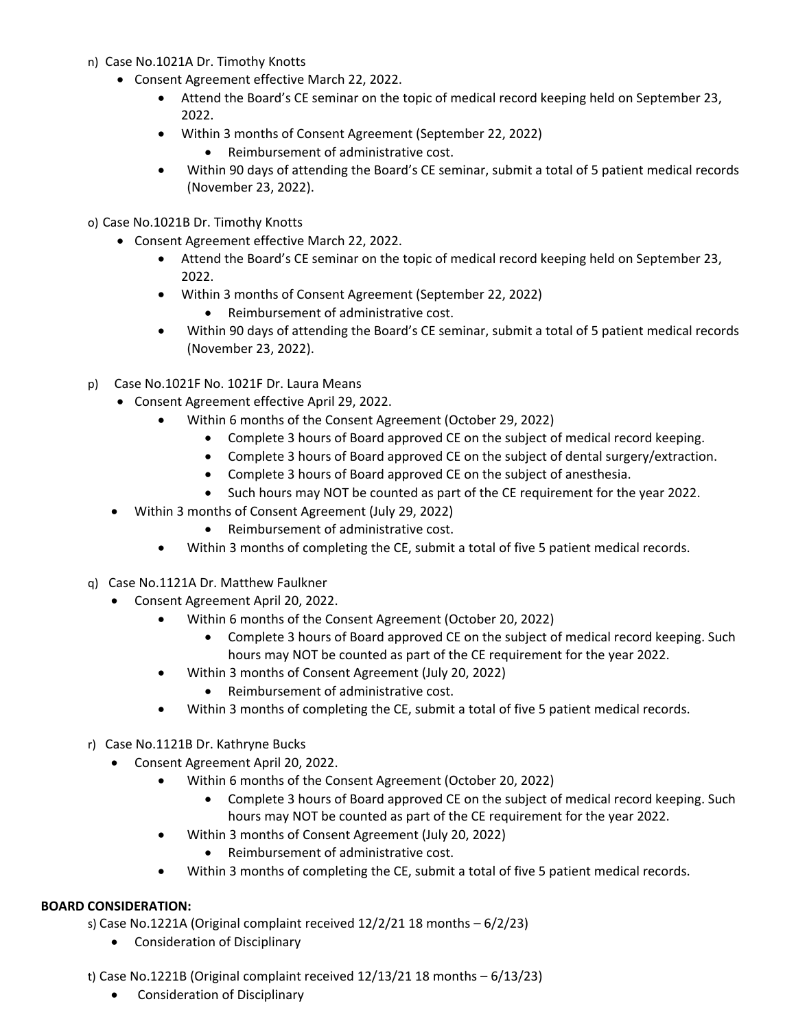- n) Case No.1021A Dr. Timothy Knotts
	- Consent Agreement effective March 22, 2022.
		- Attend the Board's CE seminar on the topic of medical record keeping held on September 23, 2022.
		- Within 3 months of Consent Agreement (September 22, 2022)
			- Reimbursement of administrative cost.
		- Within 90 days of attending the Board's CE seminar, submit a total of 5 patient medical records (November 23, 2022).
- o) Case No.1021B Dr. Timothy Knotts
	- Consent Agreement effective March 22, 2022.
		- Attend the Board's CE seminar on the topic of medical record keeping held on September 23, 2022.
		- Within 3 months of Consent Agreement (September 22, 2022)
			- Reimbursement of administrative cost.
		- Within 90 days of attending the Board's CE seminar, submit a total of 5 patient medical records (November 23, 2022).
- p) Case No.1021F No. 1021F Dr. Laura Means
	- Consent Agreement effective April 29, 2022.
		- Within 6 months of the Consent Agreement (October 29, 2022)
			- Complete 3 hours of Board approved CE on the subject of medical record keeping.
			- Complete 3 hours of Board approved CE on the subject of dental surgery/extraction.
			- Complete 3 hours of Board approved CE on the subject of anesthesia.
			- Such hours may NOT be counted as part of the CE requirement for the year 2022.
	- Within 3 months of Consent Agreement (July 29, 2022)
		- Reimbursement of administrative cost.
		- Within 3 months of completing the CE, submit a total of five 5 patient medical records.
- q) Case No.1121A Dr. Matthew Faulkner
	- Consent Agreement April 20, 2022.
		- Within 6 months of the Consent Agreement (October 20, 2022)
			- Complete 3 hours of Board approved CE on the subject of medical record keeping. Such hours may NOT be counted as part of the CE requirement for the year 2022.
		- Within 3 months of Consent Agreement (July 20, 2022)
			- Reimbursement of administrative cost.
		- Within 3 months of completing the CE, submit a total of five 5 patient medical records.
- r) Case No.1121B Dr. Kathryne Bucks
	- Consent Agreement April 20, 2022.
		- Within 6 months of the Consent Agreement (October 20, 2022)
			- Complete 3 hours of Board approved CE on the subject of medical record keeping. Such hours may NOT be counted as part of the CE requirement for the year 2022.
		- Within 3 months of Consent Agreement (July 20, 2022)
			- Reimbursement of administrative cost.
		- Within 3 months of completing the CE, submit a total of five 5 patient medical records.

### **BOARD CONSIDERATION:**

s) Case No.1221A (Original complaint received  $12/2/21$  18 months  $-6/2/23$ )

Consideration of Disciplinary

t) Case No.1221B (Original complaint received 12/13/21 18 months – 6/13/23)

Consideration of Disciplinary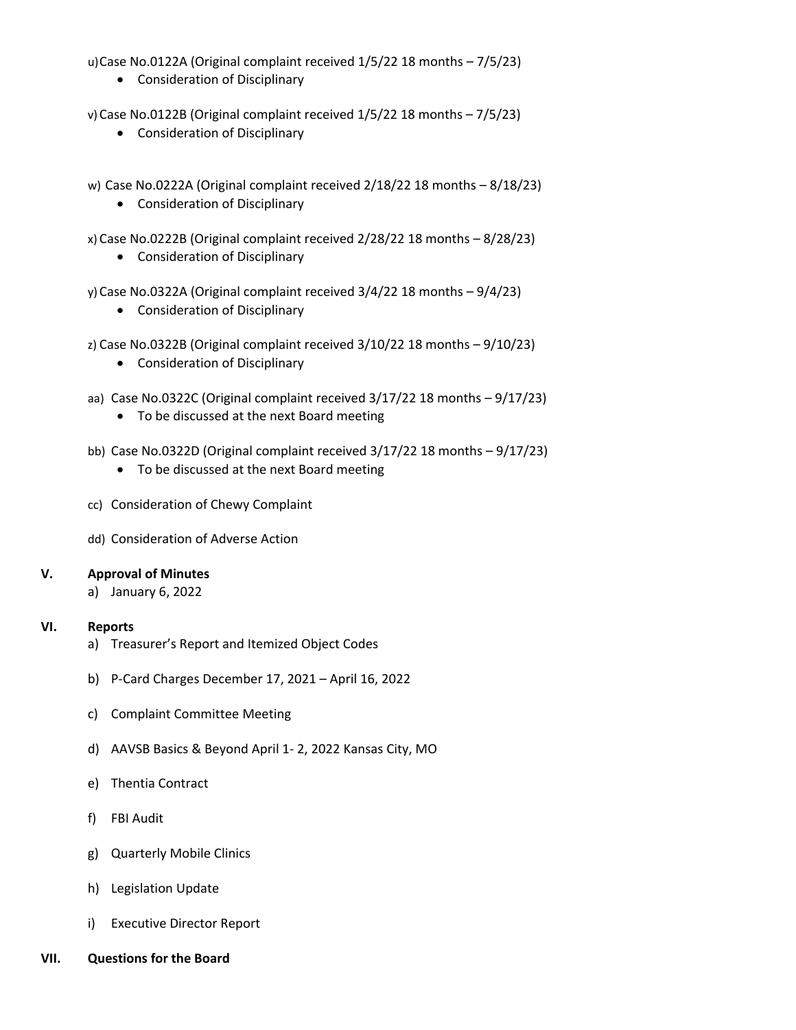u)Case No.0122A (Original complaint received 1/5/22 18 months – 7/5/23)

Consideration of Disciplinary

v)Case No.0122B (Original complaint received 1/5/22 18 months – 7/5/23)

- Consideration of Disciplinary
- w) Case No.0222A (Original complaint received 2/18/22 18 months 8/18/23)
	- Consideration of Disciplinary
- x) Case No.0222B (Original complaint received 2/28/22 18 months 8/28/23)
	- Consideration of Disciplinary
- y)Case No.0322A (Original complaint received 3/4/22 18 months 9/4/23)
	- Consideration of Disciplinary
- z) Case No.0322B (Original complaint received 3/10/22 18 months 9/10/23)
	- Consideration of Disciplinary
- aa) Case No.0322C (Original complaint received 3/17/22 18 months 9/17/23)
	- To be discussed at the next Board meeting
- bb) Case No.0322D (Original complaint received 3/17/22 18 months 9/17/23)
	- To be discussed at the next Board meeting
- cc) Consideration of Chewy Complaint
- dd) Consideration of Adverse Action

### **V. Approval of Minutes**

a) January 6, 2022

### **VI. Reports**

- a) Treasurer's Report and Itemized Object Codes
- b) P‐Card Charges December 17, 2021 April 16, 2022
- c) Complaint Committee Meeting
- d) AAVSB Basics & Beyond April 1‐ 2, 2022 Kansas City, MO
- e) Thentia Contract
- f) FBI Audit
- g) Quarterly Mobile Clinics
- h) Legislation Update
- i) Executive Director Report
- **VII. Questions for the Board**